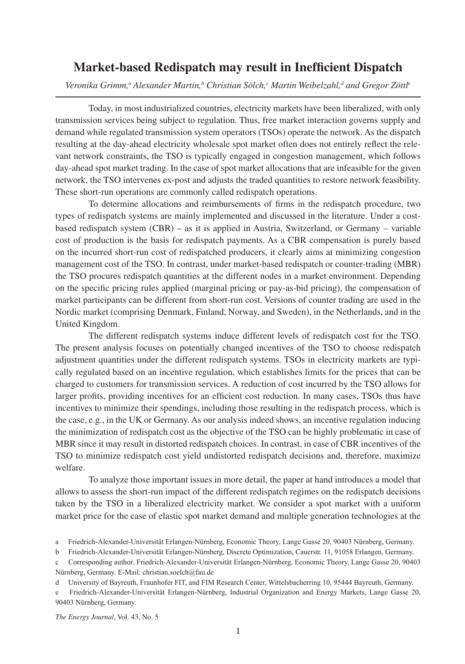## **Market-based Redispatch may result in Inefficient Dispatch**

 $V$ eronika Grimm,<sup>a</sup> Alexander Martin,<sup>b</sup> Christian Sölch,<sup>c</sup> Martin Weibelzahl,<sup>d</sup> and Gregor Zöttl<sup>e</sup>

Today, in most industrialized countries, electricity markets have been liberalized, with only transmission services being subject to regulation. Thus, free market interaction governs supply and demand while regulated transmission system operators (TSOs) operate the network. As the dispatch resulting at the day-ahead electricity wholesale spot market often does not entirely reflect the relevant network constraints, the TSO is typically engaged in congestion management, which follows day-ahead spot market trading. In the case of spot market allocations that are infeasible for the given network, the TSO intervenes ex-post and adjusts the traded quantities to restore network feasibility. These short-run operations are commonly called redispatch operations.

To determine allocations and reimbursements of firms in the redispatch procedure, two types of redispatch systems are mainly implemented and discussed in the literature. Under a costbased redispatch system (CBR) – as it is applied in Austria, Switzerland, or Germany – variable cost of production is the basis for redispatch payments. As a CBR compensation is purely based on the incurred short-run cost of redispatched producers, it clearly aims at minimizing congestion management cost of the TSO. In contrast, under market-based redispatch or counter-trading (MBR) the TSO procures redispatch quantities at the different nodes in a market environment. Depending on the specific pricing rules applied (marginal pricing or pay-as-bid pricing), the compensation of market participants can be different from short-run cost. Versions of counter trading are used in the Nordic market (comprising Denmark, Finland, Norway, and Sweden), in the Netherlands, and in the United Kingdom.

The different redispatch systems induce different levels of redispatch cost for the TSO. The present analysis focuses on potentially changed incentives of the TSO to choose redispatch adjustment quantities under the different redispatch systems. TSOs in electricity markets are typically regulated based on an incentive regulation, which establishes limits for the prices that can be charged to customers for transmission services. A reduction of cost incurred by the TSO allows for larger profits, providing incentives for an efficient cost reduction. In many cases, TSOs thus have incentives to minimize their spendings, including those resulting in the redispatch process, which is the case, e.g., in the UK or Germany. As our analysis indeed shows, an incentive regulation inducing the minimization of redispatch cost as the objective of the TSO can be highly problematic in case of MBR since it may result in distorted redispatch choices. In contrast, in case of CBR incentives of the TSO to minimize redispatch cost yield undistorted redispatch decisions and, therefore, maximize welfare.

To analyze those important issues in more detail, the paper at hand introduces a model that allows to assess the short-run impact of the different redispatch regimes on the redispatch decisions taken by the TSO in a liberalized electricity market. We consider a spot market with a uniform market price for the case of elastic spot market demand and multiple generation technologies at the

*The Energy Journal*, Vol. 43, No. 5

a Friedrich-Alexander-Universität Erlangen-Nürnberg, Economic Theory, Lange Gasse 20, 90403 Nürnberg, Germany.

b Friedrich-Alexander-Universität Erlangen-Nürnberg, Discrete Optimization, Cauerstr. 11, 91058 Erlangen, Germany.

c Corresponding author. Friedrich-Alexander-Universität Erlangen-Nürnberg, Economic Theory, Lange Gasse 20, 90403 Nürnberg, Germany. E-Mail: christian.soelch@fau.de

d University of Bayreuth, Fraunhofer FIT, and FIM Research Center, Wittelsbacherring 10, 95444 Bayreuth, Germany.

e Friedrich-Alexander-Universität Erlangen-Nürnberg, Industrial Organization and Energy Markets, Lange Gasse 20, 90403 Nürnberg, Germany.